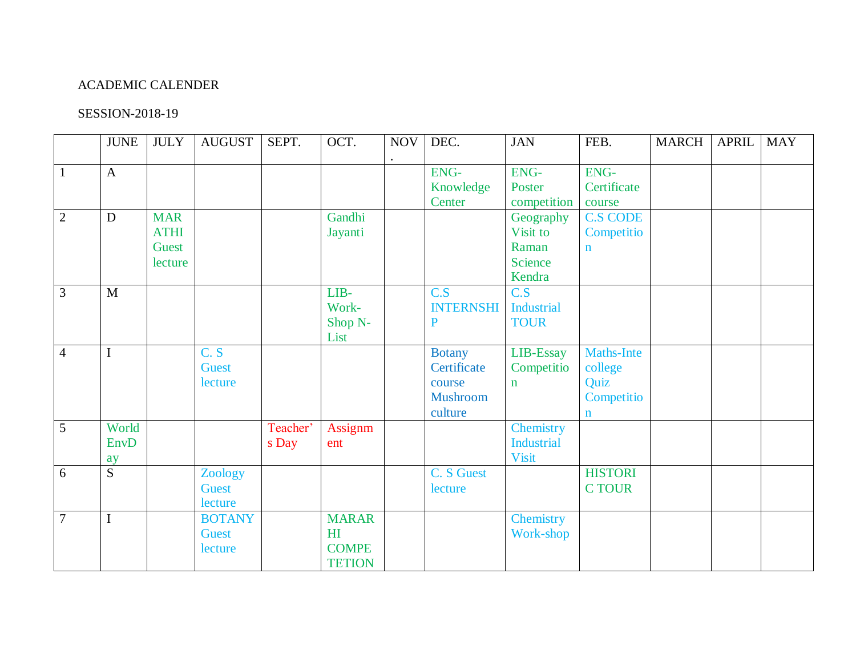## ACADEMIC CALENDER

## SESSION-2018-19

|                | <b>JUNE</b>         | <b>JULY</b>                                   | <b>AUGUST</b>                            | SEPT.             | OCT.                                                            | <b>NOV</b> | DEC.                                                                 | <b>JAN</b>                                                 | FEB.                                                              | <b>MARCH</b> | <b>APRIL</b> | <b>MAY</b> |
|----------------|---------------------|-----------------------------------------------|------------------------------------------|-------------------|-----------------------------------------------------------------|------------|----------------------------------------------------------------------|------------------------------------------------------------|-------------------------------------------------------------------|--------------|--------------|------------|
| $\mathbf{1}$   | $\mathbf{A}$        |                                               |                                          |                   |                                                                 |            | <b>ENG-</b><br>Knowledge<br>Center                                   | <b>ENG-</b><br>Poster<br>competition                       | ENG-<br>Certificate<br>course                                     |              |              |            |
| $\overline{2}$ | $\mathbf D$         | <b>MAR</b><br><b>ATHI</b><br>Guest<br>lecture |                                          |                   | Gandhi<br>Jayanti                                               |            |                                                                      | Geography<br>Visit to<br>Raman<br><b>Science</b><br>Kendra | <b>C.S CODE</b><br>Competitio<br>$\mathbf n$                      |              |              |            |
| $\mathfrak{Z}$ | M                   |                                               |                                          |                   | LIB-<br>Work-<br>Shop N-<br>List                                |            | C.S<br><b>INTERNSHI</b><br>P                                         | C.S<br><b>Industrial</b><br><b>TOUR</b>                    |                                                                   |              |              |            |
| $\overline{4}$ | $\mathbf I$         |                                               | C.S<br><b>Guest</b><br>lecture           |                   |                                                                 |            | <b>Botany</b><br>Certificate<br>course<br><b>Mushroom</b><br>culture | LIB-Essay<br>Competitio<br>$\mathbf n$                     | <b>Maths-Inte</b><br>college<br>Quiz<br>Competitio<br>$\mathbf n$ |              |              |            |
| $\overline{5}$ | World<br>EnvD<br>ay |                                               |                                          | Teacher'<br>s Day | Assignm<br>ent                                                  |            |                                                                      | Chemistry<br><b>Industrial</b><br><b>Visit</b>             |                                                                   |              |              |            |
| 6              | $\overline{S}$      |                                               | Zoology<br><b>Guest</b><br>lecture       |                   |                                                                 |            | C. S Guest<br>lecture                                                |                                                            | <b>HISTORI</b><br><b>CTOUR</b>                                    |              |              |            |
| $\overline{7}$ | $\mathbf I$         |                                               | <b>BOTANY</b><br><b>Guest</b><br>lecture |                   | <b>MARAR</b><br>H <sub>I</sub><br><b>COMPE</b><br><b>TETION</b> |            |                                                                      | Chemistry<br>Work-shop                                     |                                                                   |              |              |            |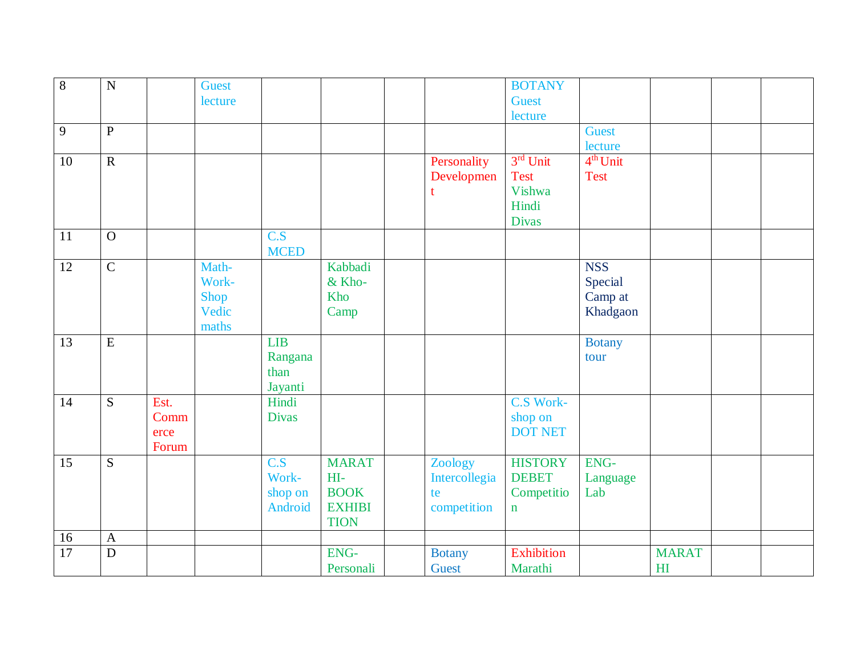| $\overline{8}$ | $\mathbf N$             |       | <b>Guest</b> |                  |               |               | <b>BOTANY</b>     |               |                |  |
|----------------|-------------------------|-------|--------------|------------------|---------------|---------------|-------------------|---------------|----------------|--|
|                |                         |       | lecture      |                  |               |               | <b>Guest</b>      |               |                |  |
|                |                         |       |              |                  |               |               | lecture           |               |                |  |
| $\overline{9}$ | ${\bf P}$               |       |              |                  |               |               |                   | <b>Guest</b>  |                |  |
|                |                         |       |              |                  |               |               |                   | lecture       |                |  |
| 10             | $\overline{R}$          |       |              |                  |               | Personality   | 3rd Unit          | $4th$ Unit    |                |  |
|                |                         |       |              |                  |               | Developmen    | <b>Test</b>       | <b>Test</b>   |                |  |
|                |                         |       |              |                  |               |               | Vishwa            |               |                |  |
|                |                         |       |              |                  |               |               | Hindi             |               |                |  |
|                |                         |       |              |                  |               |               | <b>Divas</b>      |               |                |  |
| 11             | $\mathbf O$             |       |              | $\overline{C.S}$ |               |               |                   |               |                |  |
|                |                         |       |              | <b>MCED</b>      |               |               |                   |               |                |  |
| 12             | $\overline{C}$          |       | Math-        |                  | Kabbadi       |               |                   | <b>NSS</b>    |                |  |
|                |                         |       | Work-        |                  | & Kho-        |               |                   | Special       |                |  |
|                |                         |       | Shop         |                  | Kho           |               |                   | Camp at       |                |  |
|                |                         |       | Vedic        |                  | Camp          |               |                   | Khadgaon      |                |  |
|                |                         |       | maths        |                  |               |               |                   |               |                |  |
| 13             | $\overline{\mathrm{E}}$ |       |              | LIB              |               |               |                   | <b>Botany</b> |                |  |
|                |                         |       |              | Rangana          |               |               |                   | tour          |                |  |
|                |                         |       |              | than             |               |               |                   |               |                |  |
|                |                         |       |              | Jayanti          |               |               |                   |               |                |  |
| 14             | S                       | Est.  |              | Hindi            |               |               | C.S Work-         |               |                |  |
|                |                         | Comm  |              | <b>Divas</b>     |               |               | shop on           |               |                |  |
|                |                         | erce  |              |                  |               |               | <b>DOT NET</b>    |               |                |  |
|                |                         | Forum |              |                  |               |               |                   |               |                |  |
| 15             | $\overline{S}$          |       |              | $\overline{C.S}$ | <b>MARAT</b>  | Zoology       | <b>HISTORY</b>    | ENG-          |                |  |
|                |                         |       |              | Work-            | HI-           | Intercollegia | <b>DEBET</b>      | Language      |                |  |
|                |                         |       |              | shop on          | <b>BOOK</b>   | te            | Competitio        | Lab           |                |  |
|                |                         |       |              | Android          | <b>EXHIBI</b> | competition   | $\mathbf n$       |               |                |  |
|                |                         |       |              |                  | <b>TION</b>   |               |                   |               |                |  |
| 16             | $\mathbf{A}$            |       |              |                  |               |               |                   |               |                |  |
| 17             | $\mathbf D$             |       |              |                  | ENG-          | <b>Botany</b> | <b>Exhibition</b> |               | <b>MARAT</b>   |  |
|                |                         |       |              |                  | Personali     | <b>Guest</b>  | Marathi           |               | H <sub>I</sub> |  |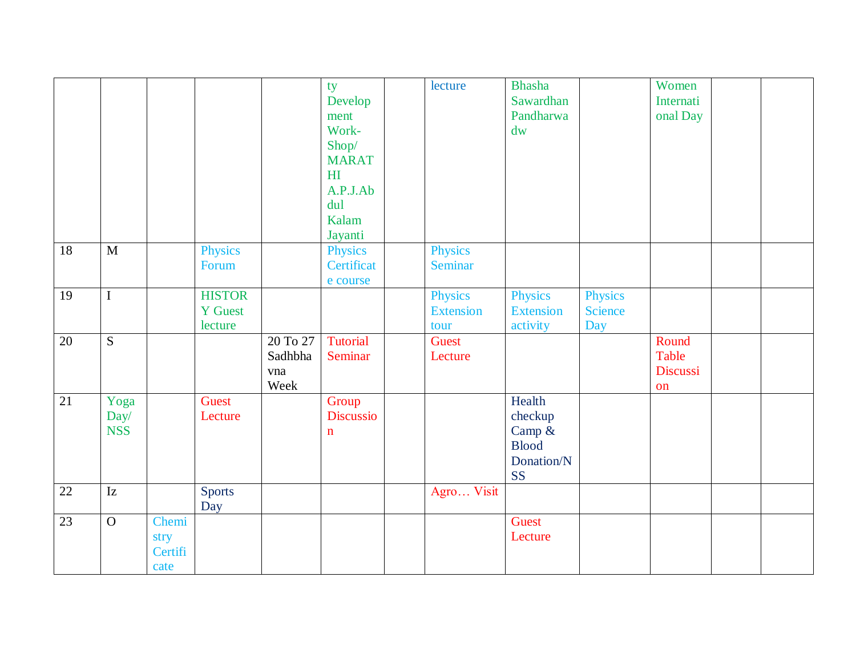|                 |                            |                                  |                                            |                                    | ty<br>Develop<br>ment<br>Work-<br>Shop/<br><b>MARAT</b><br>H <sub>I</sub><br>A.P.J.Ab<br>dul<br>Kalam<br>Jayanti | lecture                             | <b>Bhasha</b><br>Sawardhan<br>Pandharwa<br>dw                          |                                         | Women<br>Internati<br>onal Day   |  |
|-----------------|----------------------------|----------------------------------|--------------------------------------------|------------------------------------|------------------------------------------------------------------------------------------------------------------|-------------------------------------|------------------------------------------------------------------------|-----------------------------------------|----------------------------------|--|
| 18              | M                          |                                  | <b>Physics</b><br>Forum                    |                                    | <b>Physics</b><br>Certificat<br>e course                                                                         | Physics<br>Seminar                  |                                                                        |                                         |                                  |  |
| $\overline{19}$ | $\overline{I}$             |                                  | <b>HISTOR</b><br><b>Y</b> Guest<br>lecture |                                    |                                                                                                                  | Physics<br><b>Extension</b><br>tour | <b>Physics</b><br><b>Extension</b><br>activity                         | <b>Physics</b><br><b>Science</b><br>Day |                                  |  |
| 20              | $\overline{S}$             |                                  |                                            | 20 To 27<br>Sadhbha<br>vna<br>Week | <b>Tutorial</b><br>Seminar                                                                                       | Guest<br>Lecture                    |                                                                        |                                         | Round<br>Table<br>Discussi<br>on |  |
| 21              | Yoga<br>Day/<br><b>NSS</b> |                                  | Guest<br>Lecture                           |                                    | Group<br>Discussio<br>$\mathbf n$                                                                                |                                     | Health<br>checkup<br>Camp &<br><b>Blood</b><br>Donation/N<br><b>SS</b> |                                         |                                  |  |
| 22              | $\mathbf{I}\mathbf{z}$     |                                  | <b>Sports</b><br>Day                       |                                    |                                                                                                                  | Agro Visit                          |                                                                        |                                         |                                  |  |
| 23              | $\overline{O}$             | Chemi<br>stry<br>Certifi<br>cate |                                            |                                    |                                                                                                                  |                                     | Guest<br>Lecture                                                       |                                         |                                  |  |